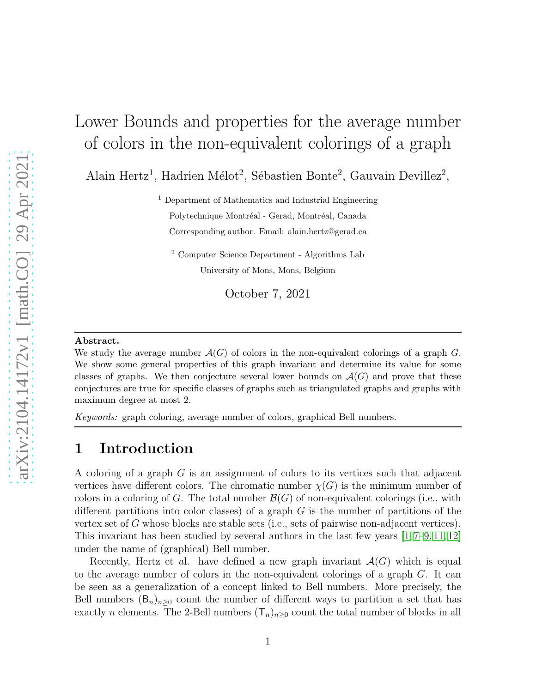# Lower Bounds and properties for the average number of colors in the non-equivalent colorings of a graph

Alain Hertz<sup>1</sup>, Hadrien Mélot<sup>2</sup>, Sébastien Bonte<sup>2</sup>, Gauvain Devillez<sup>2</sup>,

<sup>1</sup> Department of Mathematics and Industrial Engineering Polytechnique Montréal - Gerad, Montréal, Canada Corresponding author. Email: alain.hertz@gerad.ca

<sup>2</sup> Computer Science Department - Algorithms Lab University of Mons, Mons, Belgium

October 7, 2021

#### Abstract.

We study the average number  $\mathcal{A}(G)$  of colors in the non-equivalent colorings of a graph G. We show some general properties of this graph invariant and determine its value for some classes of graphs. We then conjecture several lower bounds on  $\mathcal{A}(G)$  and prove that these conjectures are true for specific classes of graphs such as triangulated graphs and graphs with maximum degree at most 2.

Keywords: graph coloring, average number of colors, graphical Bell numbers.

### 1 Introduction

A coloring of a graph G is an assignment of colors to its vertices such that adjacent vertices have different colors. The chromatic number  $\chi(G)$  is the minimum number of colors in a coloring of G. The total number  $\mathcal{B}(G)$  of non-equivalent colorings (i.e., with different partitions into color classes) of a graph  $G$  is the number of partitions of the vertex set of G whose blocks are stable sets (i.e., sets of pairwise non-adjacent vertices). This invariant has been studied by several authors in the last few years  $[1, 7–9, 11, 12]$  $[1, 7–9, 11, 12]$  $[1, 7–9, 11, 12]$  $[1, 7–9, 11, 12]$  $[1, 7–9, 11, 12]$ under the name of (graphical) Bell number.

Recently, Hertz et al. have defined a new graph invariant  $\mathcal{A}(G)$  which is equal to the average number of colors in the non-equivalent colorings of a graph G. It can be seen as a generalization of a concept linked to Bell numbers. More precisely, the Bell numbers  $(\mathsf{B}_n)_{n\geq 0}$  count the number of different ways to partition a set that has exactly *n* elements. The 2-Bell numbers  $(T_n)_{n\geq 0}$  count the total number of blocks in all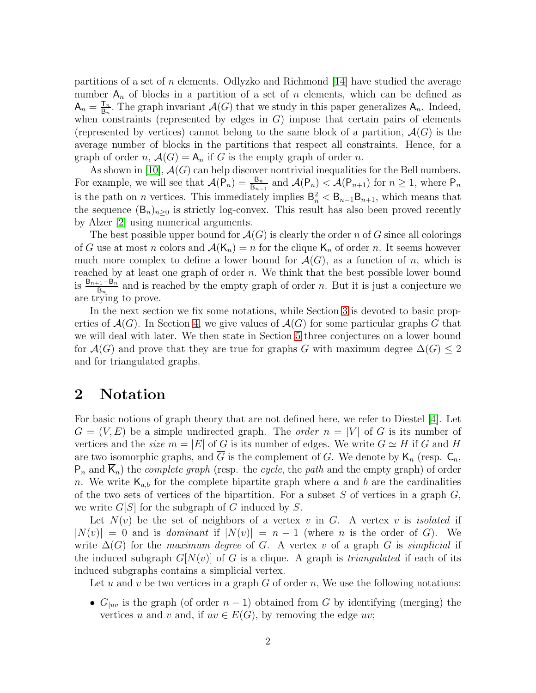partitions of a set of n elements. Odlyzko and Richmond [\[14\]](#page-19-5) have studied the average number  $A_n$  of blocks in a partition of a set of n elements, which can be defined as  $A_n = \frac{T_n}{B_n}$  $\frac{\mathsf{T}_n}{\mathsf{B}_n}$ . The graph invariant  $\mathcal{A}(G)$  that we study in this paper generalizes  $\mathsf{A}_n$ . Indeed, when constraints (represented by edges in  $G$ ) impose that certain pairs of elements (represented by vertices) cannot belong to the same block of a partition,  $\mathcal{A}(G)$  is the average number of blocks in the partitions that respect all constraints. Hence, for a graph of order n,  $\mathcal{A}(G) = A_n$  if G is the empty graph of order n.

As shown in [\[10\]](#page-19-6),  $\mathcal{A}(G)$  can help discover nontrivial inequalities for the Bell numbers. For example, we will see that  $\mathcal{A}(\overline{P}_n) = \frac{B_n}{B_{n-1}}$  and  $\mathcal{A}(P_n) < \mathcal{A}(P_{n+1})$  for  $n \geq 1$ , where  $P_n$ is the path on *n* vertices. This immediately implies  $B_n^2 < B_{n-1}B_{n+1}$ , which means that the sequence  $(B_n)_{n>0}$  is strictly log-convex. This result has also been proved recently by Alzer [\[2\]](#page-19-7) using numerical arguments.

The best possible upper bound for  $\mathcal{A}(G)$  is clearly the order n of G since all colorings of G use at most n colors and  $\mathcal{A}(\mathsf{K}_n) = n$  for the clique  $\mathsf{K}_n$  of order n. It seems however much more complex to define a lower bound for  $\mathcal{A}(G)$ , as a function of n, which is reached by at least one graph of order n. We think that the best possible lower bound is  $\frac{B_{n+1}-B_n}{B_n}$  and is reached by the empty graph of order n. But it is just a conjecture we are trying to prove.

In the next section we fix some notations, while Section [3](#page-3-0) is devoted to basic properties of  $\mathcal{A}(G)$ . In Section [4,](#page-9-0) we give values of  $\mathcal{A}(G)$  for some particular graphs G that we will deal with later. We then state in Section [5](#page-11-0) three conjectures on a lower bound for  $\mathcal{A}(G)$  and prove that they are true for graphs G with maximum degree  $\Delta(G) \leq 2$ and for triangulated graphs.

### 2 Notation

For basic notions of graph theory that are not defined here, we refer to Diestel [\[4\]](#page-19-8). Let  $G = (V, E)$  be a simple undirected graph. The *order*  $n = |V|$  of G is its number of vertices and the *size*  $m = |E|$  of G is its number of edges. We write  $G \simeq H$  if G and H are two isomorphic graphs, and  $\overline{G}$  is the complement of G. We denote by  $\mathsf{K}_n$  (resp.  $\mathsf{C}_n$ ,  $P_n$  and  $\overline{K}_n$ ) the *complete graph* (resp. the *cycle*, the *path* and the empty graph) of order n. We write  $\mathsf{K}_{a,b}$  for the complete bipartite graph where a and b are the cardinalities of the two sets of vertices of the bipartition. For a subset  $S$  of vertices in a graph  $G$ , we write  $G[S]$  for the subgraph of G induced by S.

Let  $N(v)$  be the set of neighbors of a vertex v in G. A vertex v is isolated if  $|N(v)| = 0$  and is *dominant* if  $|N(v)| = n - 1$  (where *n* is the order of G). We write  $\Delta(G)$  for the maximum degree of G. A vertex v of a graph G is simplicial if the induced subgraph  $G[N(v)]$  of G is a clique. A graph is *triangulated* if each of its induced subgraphs contains a simplicial vertex.

Let u and v be two vertices in a graph  $G$  of order n, We use the following notations:

•  $G_{|uv}$  is the graph (of order  $n-1$ ) obtained from G by identifying (merging) the vertices u and v and, if  $uv \in E(G)$ , by removing the edge uv;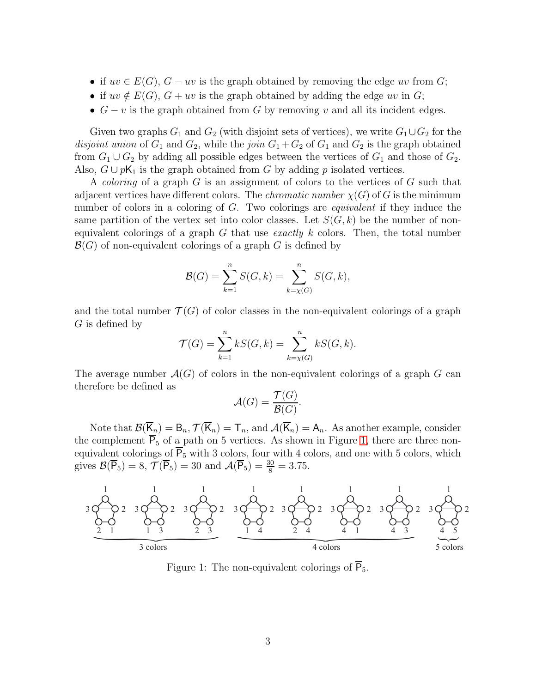- if  $uv \in E(G)$ ,  $G uv$  is the graph obtained by removing the edge uv from G;
- if  $uv \notin E(G)$ ,  $G + uv$  is the graph obtained by adding the edge uv in G;
- $G v$  is the graph obtained from G by removing v and all its incident edges.

Given two graphs  $G_1$  and  $G_2$  (with disjoint sets of vertices), we write  $G_1 \cup G_2$  for the disjoint union of  $G_1$  and  $G_2$ , while the join  $G_1 + G_2$  of  $G_1$  and  $G_2$  is the graph obtained from  $G_1 \cup G_2$  by adding all possible edges between the vertices of  $G_1$  and those of  $G_2$ . Also,  $G \cup pK_1$  is the graph obtained from G by adding p isolated vertices.

A *coloring* of a graph G is an assignment of colors to the vertices of G such that adjacent vertices have different colors. The *chromatic number*  $\chi(G)$  of G is the minimum number of colors in a coloring of G. Two colorings are *equivalent* if they induce the same partition of the vertex set into color classes. Let  $S(G, k)$  be the number of nonequivalent colorings of a graph G that use *exactly* k colors. Then, the total number  $\mathcal{B}(G)$  of non-equivalent colorings of a graph G is defined by

$$
\mathcal{B}(G) = \sum_{k=1}^{n} S(G, k) = \sum_{k=\chi(G)}^{n} S(G, k),
$$

and the total number  $\mathcal{T}(G)$  of color classes in the non-equivalent colorings of a graph G is defined by

$$
\mathcal{T}(G) = \sum_{k=1}^{n} kS(G, k) = \sum_{k=\chi(G)}^{n} kS(G, k).
$$

The average number  $\mathcal{A}(G)$  of colors in the non-equivalent colorings of a graph G can therefore be defined as

$$
\mathcal{A}(G) = \frac{\mathcal{T}(G)}{\mathcal{B}(G)}
$$

.

Note that  $\mathcal{B}(\overline{K}_n) = B_n$ ,  $\mathcal{T}(\overline{K}_n) = T_n$ , and  $\mathcal{A}(\overline{K}_n) = A_n$ . As another example, consider the complement  $\overline{P_5}$  of a path on 5 vertices. As shown in Figure [1,](#page-2-0) there are three nonequivalent colorings of  $\overline{P_5}$  with 3 colors, four with 4 colors, and one with 5 colors, which gives  $\mathcal{B}(\overline{P}_5) = 8, \mathcal{T}(\overline{P}_5) = 30 \text{ and } \mathcal{A}(\overline{P}_5) = \frac{30}{8} = 3.75.$ 

<span id="page-2-0"></span>

Figure 1: The non-equivalent colorings of  $\overline{P}_5$ .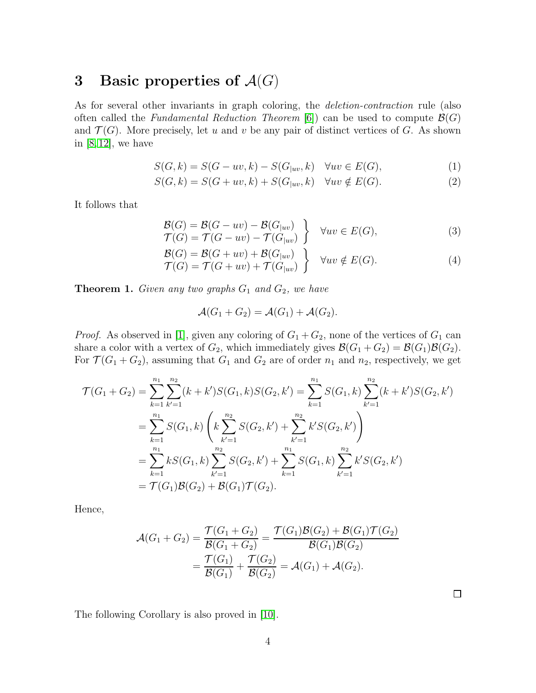### <span id="page-3-0"></span>3 Basic properties of  $\mathcal{A}(G)$

As for several other invariants in graph coloring, the *deletion-contraction* rule (also often called the *Fundamental Reduction Theorem* [\[6\]](#page-19-9)) can be used to compute  $\mathcal{B}(G)$ and  $\mathcal{T}(G)$ . More precisely, let u and v be any pair of distinct vertices of G. As shown in  $[8, 12]$  $[8, 12]$ , we have

$$
S(G,k) = S(G - uv, k) - S(G_{|uv}, k) \quad \forall uv \in E(G), \tag{1}
$$

$$
S(G,k) = S(G+uv,k) + S(G_{|uv},k) \quad \forall uv \notin E(G).
$$
\n
$$
(2)
$$

It follows that

<span id="page-3-5"></span>
$$
\begin{aligned} \mathcal{B}(G) &= \mathcal{B}(G - uv) - \mathcal{B}(G_{|uv}) \\ \mathcal{T}(G) &= \mathcal{T}(G - uv) - \mathcal{T}(G_{|uv}) \end{aligned} \quad \forall uv \in E(G), \tag{3}
$$

$$
\begin{aligned} \mathcal{B}(G) &= \mathcal{B}(G + uv) + \mathcal{B}(G_{|uv}) \\ \mathcal{T}(G) &= \mathcal{T}(G + uv) + \mathcal{T}(G_{|uv}) \end{aligned} \quad \bigg\} \quad \forall uv \notin E(G). \tag{4}
$$

<span id="page-3-1"></span>**Theorem 1.** Given any two graphs  $G_1$  and  $G_2$ , we have

<span id="page-3-4"></span><span id="page-3-3"></span><span id="page-3-2"></span>
$$
\mathcal{A}(G_1+G_2)=\mathcal{A}(G_1)+\mathcal{A}(G_2).
$$

*Proof.* As observed in [\[1\]](#page-19-0), given any coloring of  $G_1 + G_2$ , none of the vertices of  $G_1$  can share a color with a vertex of  $G_2$ , which immediately gives  $\mathcal{B}(G_1+G_2)=\mathcal{B}(G_1)\mathcal{B}(G_2)$ . For  $\mathcal{T}(G_1 + G_2)$ , assuming that  $G_1$  and  $G_2$  are of order  $n_1$  and  $n_2$ , respectively, we get

$$
\mathcal{T}(G_1 + G_2) = \sum_{k=1}^{n_1} \sum_{k'=1}^{n_2} (k + k')S(G_1, k)S(G_2, k') = \sum_{k=1}^{n_1} S(G_1, k) \sum_{k'=1}^{n_2} (k + k')S(G_2, k')
$$
  
= 
$$
\sum_{k=1}^{n_1} S(G_1, k) \left( k \sum_{k'=1}^{n_2} S(G_2, k') + \sum_{k'=1}^{n_2} k' S(G_2, k') \right)
$$
  
= 
$$
\sum_{k=1}^{n_1} k S(G_1, k) \sum_{k'=1}^{n_2} S(G_2, k') + \sum_{k=1}^{n_1} S(G_1, k) \sum_{k'=1}^{n_2} k' S(G_2, k')
$$
  
= 
$$
\mathcal{T}(G_1) \mathcal{B}(G_2) + \mathcal{B}(G_1) \mathcal{T}(G_2).
$$

Hence,

$$
\mathcal{A}(G_1 + G_2) = \frac{\mathcal{T}(G_1 + G_2)}{\mathcal{B}(G_1 + G_2)} = \frac{\mathcal{T}(G_1)\mathcal{B}(G_2) + \mathcal{B}(G_1)\mathcal{T}(G_2)}{\mathcal{B}(G_1)\mathcal{B}(G_2)} \n= \frac{\mathcal{T}(G_1)}{\mathcal{B}(G_1)} + \frac{\mathcal{T}(G_2)}{\mathcal{B}(G_2)} = \mathcal{A}(G_1) + \mathcal{A}(G_2).
$$

 $\Box$ 

The following Corollary is also proved in [\[10\]](#page-19-6).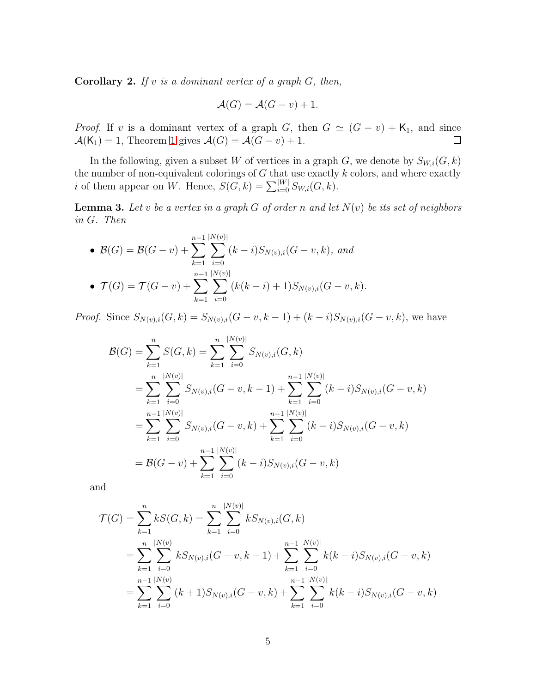<span id="page-4-1"></span>**Corollary 2.** If v is a dominant vertex of a graph  $G$ , then,

$$
\mathcal{A}(G) = \mathcal{A}(G - v) + 1.
$$

*Proof.* If v is a dominant vertex of a graph G, then  $G \simeq (G - v) + \mathsf{K}_1$ , and since  $\mathcal{A}(\mathsf{K}_1) = 1$  $\mathcal{A}(\mathsf{K}_1) = 1$ , Theorem 1 gives  $\mathcal{A}(G) = \mathcal{A}(G - v) + 1$ .  $\Box$ 

In the following, given a subset W of vertices in a graph  $G$ , we denote by  $S_{W,i}(G, k)$ the number of non-equivalent colorings of  $G$  that use exactly  $k$  colors, and where exactly *i* of them appear on W. Hence,  $S(G, k) = \sum_{i=0}^{|W|} S_{W,i}(G, k)$ .

<span id="page-4-0"></span>**Lemma 3.** Let v be a vertex in a graph G of order n and let  $N(v)$  be its set of neighbors in G. Then

• 
$$
\mathcal{B}(G) = \mathcal{B}(G - v) + \sum_{k=1}^{n-1} \sum_{i=0}^{|N(v)|} (k-i)S_{N(v),i}(G - v, k), and
$$
  
\n•  $\mathcal{T}(G) = \mathcal{T}(G - v) + \sum_{k=1}^{n-1} \sum_{i=0}^{|N(v)|} (k(k-i) + 1)S_{N(v),i}(G - v, k).$ 

*Proof.* Since  $S_{N(v),i}(G, k) = S_{N(v),i}(G - v, k - 1) + (k - i)S_{N(v),i}(G - v, k)$ , we have

$$
\mathcal{B}(G) = \sum_{k=1}^{n} S(G, k) = \sum_{k=1}^{n} \sum_{i=0}^{|N(v)|} S_{N(v),i}(G, k)
$$
  
\n
$$
= \sum_{k=1}^{n} \sum_{i=0}^{|N(v)|} S_{N(v),i}(G - v, k - 1) + \sum_{k=1}^{n-1} \sum_{i=0}^{|N(v)|} (k - i) S_{N(v),i}(G - v, k)
$$
  
\n
$$
= \sum_{k=1}^{n-1} \sum_{i=0}^{|N(v)|} S_{N(v),i}(G - v, k) + \sum_{k=1}^{n-1} \sum_{i=0}^{|N(v)|} (k - i) S_{N(v),i}(G - v, k)
$$
  
\n
$$
= \mathcal{B}(G - v) + \sum_{k=1}^{n-1} \sum_{i=0}^{|N(v)|} (k - i) S_{N(v),i}(G - v, k)
$$

and

$$
\mathcal{T}(G) = \sum_{k=1}^{n} kS(G, k) = \sum_{k=1}^{n} \sum_{i=0}^{|N(v)|} kS_{N(v),i}(G, k)
$$
  
= 
$$
\sum_{k=1}^{n} \sum_{i=0}^{|N(v)|} kS_{N(v),i}(G - v, k - 1) + \sum_{k=1}^{n-1} \sum_{i=0}^{|N(v)|} k(k - i)S_{N(v),i}(G - v, k)
$$
  
= 
$$
\sum_{k=1}^{n-1} \sum_{i=0}^{|N(v)|} (k + 1)S_{N(v),i}(G - v, k) + \sum_{k=1}^{n-1} \sum_{i=0}^{|N(v)|} k(k - i)S_{N(v),i}(G - v, k)
$$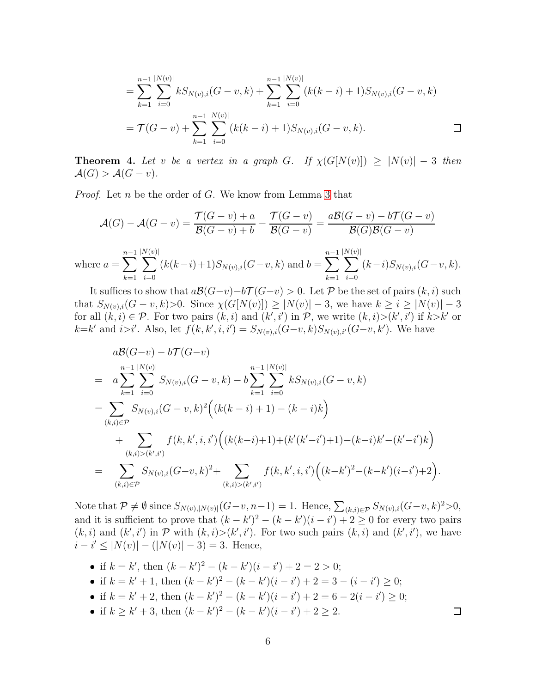$$
= \sum_{k=1}^{n-1} \sum_{i=0}^{|N(v)|} k S_{N(v),i}(G-v,k) + \sum_{k=1}^{n-1} \sum_{i=0}^{|N(v)|} (k(k-i)+1)S_{N(v),i}(G-v,k)
$$
  
=  $\mathcal{T}(G-v) + \sum_{k=1}^{n-1} \sum_{i=0}^{|N(v)|} (k(k-i)+1)S_{N(v),i}(G-v,k).$ 

<span id="page-5-0"></span>**Theorem 4.** Let v be a vertex in a graph G. If  $\chi(G[N(v)]) \geq |N(v)| - 3$  then  $\mathcal{A}(G) > \mathcal{A}(G - v).$ 

*Proof.* Let n be the order of G. We know from Lemma [3](#page-4-0) that

$$
\mathcal{A}(G) - \mathcal{A}(G - v) = \frac{\mathcal{T}(G - v) + a}{\mathcal{B}(G - v) + b} - \frac{\mathcal{T}(G - v)}{\mathcal{B}(G - v)} = \frac{a\mathcal{B}(G - v) - b\mathcal{T}(G - v)}{\mathcal{B}(G)\mathcal{B}(G - v)}
$$
  
where  $a = \sum_{k=1}^{n-1} \sum_{i=0}^{|N(v)|} (k(k-i)+1)S_{N(v),i}(G - v, k)$  and  $b = \sum_{k=1}^{n-1} \sum_{i=0}^{|N(v)|} (k-i)S_{N(v),i}(G - v, k).$ 

It suffices to show that  $a\mathcal{B}(G-v)-b\mathcal{T}(G-v) > 0$ . Let P be the set of pairs  $(k, i)$  such that  $S_{N(v),i}(G - v, k) > 0$ . Since  $\chi(G[N(v)]) \ge |N(v)| - 3$ , we have  $k \ge i \ge |N(v)| - 3$ for all  $(k, i) \in \mathcal{P}$ . For two pairs  $(k, i)$  and  $(k', i')$  in  $\mathcal{P}$ , we write  $(k, i) > (k', i')$  if  $k > k'$  or  $k=k'$  and  $i>i'$ . Also, let  $f(k, k', i, i') = S_{N(v), i}(G-v, k)S_{N(v), i'}(G-v, k')$ . We have

$$
a\mathcal{B}(G-v) - b\mathcal{T}(G-v)
$$
  
=  $a\sum_{k=1}^{n-1} \sum_{i=0}^{|N(v)|} S_{N(v),i}(G-v,k) - b\sum_{k=1}^{n-1} \sum_{i=0}^{|N(v)|} kS_{N(v),i}(G-v,k)$   
=  $\sum_{(k,i)\in\mathcal{P}} S_{N(v),i}(G-v,k)^2 ((k(k-i)+1)-(k-i)k)$   
+  $\sum_{(k,i)>(k',i')} f(k,k',i,i') ((k(k-i)+1)+(k'(k'-i')+1)-(k-i)k'-(k'-i')k)$   
=  $\sum_{(k,i)\in\mathcal{P}} S_{N(v),i}(G-v,k)^2 + \sum_{(k,i)>(k',i')} f(k,k',i,i') ((k-k')^2-(k-k')(i-i')+2).$ 

Note that  $\mathcal{P} \neq \emptyset$  since  $S_{N(v),|N(v)|}(G-v,n-1) = 1$ . Hence,  $\sum_{(k,i)\in\mathcal{P}} S_{N(v),i}(G-v,k)^2 > 0$ , and it is sufficient to prove that  $(k - k')^2 - (k - k') (i - i') + 2 \geq 0$  for every two pairs  $(k, i)$  and  $(k', i')$  in P with  $(k, i) > (k', i')$ . For two such pairs  $(k, i)$  and  $(k', i')$ , we have  $i - i' \leq |N(v)| - (|N(v)| - 3) = 3$ . Hence,

- if  $k = k'$ , then  $(k k')^2 (k k')(i i') + 2 = 2 > 0$ ;
- if  $k = k' + 1$ , then  $(k k')^{2} (k k') (i i') + 2 = 3 (i i') \ge 0$ ;
- if  $k = k' + 2$ , then  $(k k')^{2} (k k') (i i') + 2 = 6 2(i i') \ge 0$ ;
- if  $k \geq k' + 3$ , then  $(k k')^2 (k k') (i i') + 2 \geq 2$ .

 $\Box$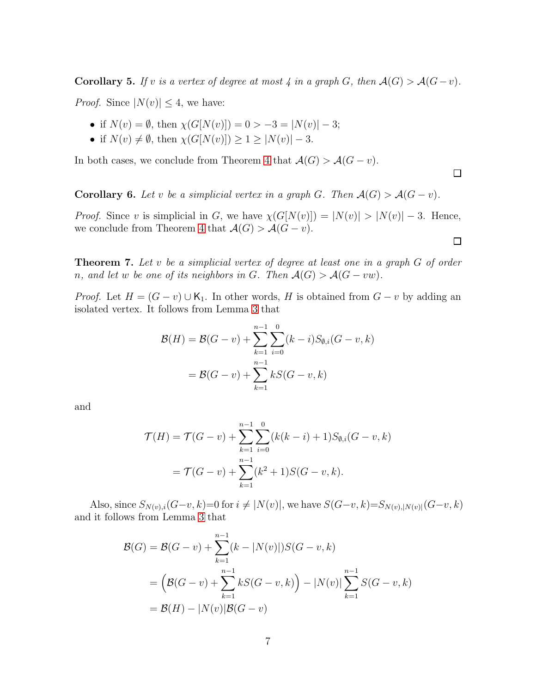<span id="page-6-2"></span>Corollary 5. If v is a vertex of degree at most  $\lambda$  in a graph G, then  $\mathcal{A}(G) > \mathcal{A}(G-v)$ .

*Proof.* Since  $|N(v)| \leq 4$ , we have:

- if  $N(v) = \emptyset$ , then  $\chi(G[N(v)]) = 0 > -3 = |N(v)| 3;$
- if  $N(v) \neq \emptyset$ , then  $\chi(G[N(v)]) \geq 1 \geq |N(v)| 3$ .

In both cases, we conclude from Theorem [4](#page-5-0) that  $\mathcal{A}(G) > \mathcal{A}(G - v)$ .

<span id="page-6-0"></span>**Corollary 6.** Let v be a simplicial vertex in a graph G. Then  $\mathcal{A}(G) > \mathcal{A}(G - v)$ .

*Proof.* Since v is simplicial in G, we have  $\chi(G[N(v)]) = |N(v)| > |N(v)| - 3$ . Hence, we conclude from Theorem [4](#page-5-0) that  $\mathcal{A}(G) > \mathcal{A}(G - v)$ .

 $\Box$ 

 $\Box$ 

<span id="page-6-1"></span>**Theorem 7.** Let v be a simplicial vertex of degree at least one in a graph  $G$  of order n, and let w be one of its neighbors in G. Then  $\mathcal{A}(G) > \mathcal{A}(G - vw)$ .

*Proof.* Let  $H = (G - v) \cup K_1$ . In other words, H is obtained from  $G - v$  by adding an isolated vertex. It follows from Lemma [3](#page-4-0) that

$$
\mathcal{B}(H) = \mathcal{B}(G - v) + \sum_{k=1}^{n-1} \sum_{i=0}^{0} (k - i) S_{\emptyset, i}(G - v, k)
$$

$$
= \mathcal{B}(G - v) + \sum_{k=1}^{n-1} kS(G - v, k)
$$

and

$$
\mathcal{T}(H) = \mathcal{T}(G - v) + \sum_{k=1}^{n-1} \sum_{i=0}^{0} (k(k - i) + 1) S_{\emptyset, i}(G - v, k)
$$
  
= 
$$
\mathcal{T}(G - v) + \sum_{k=1}^{n-1} (k^2 + 1) S(G - v, k).
$$

Also, since  $S_{N(v),i}(G-v, k)=0$  for  $i \neq |N(v)|$ , we have  $S(G-v, k)=S_{N(v),|N(v)|}(G-v, k)$ and it follows from Lemma [3](#page-4-0) that

$$
\mathcal{B}(G) = \mathcal{B}(G - v) + \sum_{k=1}^{n-1} (k - |N(v)|)S(G - v, k)
$$
  
=  $\left(\mathcal{B}(G - v) + \sum_{k=1}^{n-1} kS(G - v, k)\right) - |N(v)| \sum_{k=1}^{n-1} S(G - v, k)$   
=  $\mathcal{B}(H) - |N(v)| \mathcal{B}(G - v)$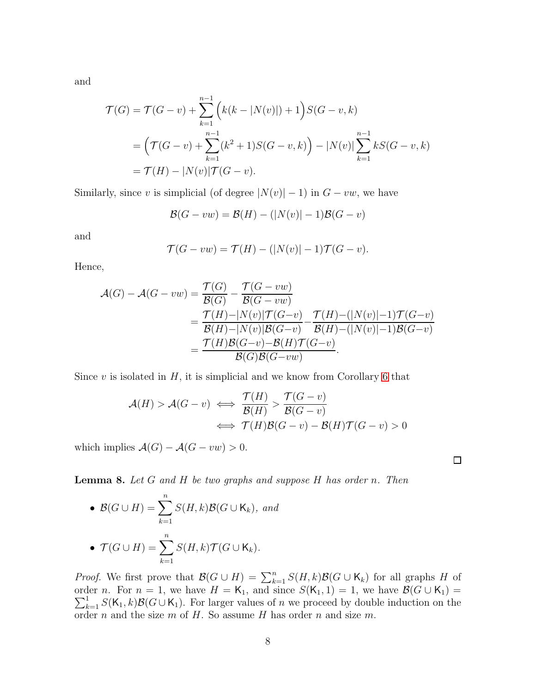and

$$
\mathcal{T}(G) = \mathcal{T}(G - v) + \sum_{k=1}^{n-1} \left( k(k - |N(v)|) + 1 \right) S(G - v, k)
$$
  
=  $\left( \mathcal{T}(G - v) + \sum_{k=1}^{n-1} (k^2 + 1) S(G - v, k) \right) - |N(v)| \sum_{k=1}^{n-1} k S(G - v, k)$   
=  $\mathcal{T}(H) - |N(v)| \mathcal{T}(G - v).$ 

Similarly, since v is simplicial (of degree  $|N(v)|-1$ ) in  $G - vw$ , we have

$$
\mathcal{B}(G - vw) = \mathcal{B}(H) - (|N(v)| - 1)\mathcal{B}(G - v)
$$

and

$$
\mathcal{T}(G - vw) = \mathcal{T}(H) - (|N(v)| - 1)\mathcal{T}(G - v).
$$

Hence,

$$
\mathcal{A}(G) - \mathcal{A}(G - vw) = \frac{\mathcal{T}(G)}{\mathcal{B}(G)} - \frac{\mathcal{T}(G - vw)}{\mathcal{B}(G - vw)} \n= \frac{\mathcal{T}(H) - |N(v)|\mathcal{T}(G - v)}{\mathcal{B}(H) - |N(v)|\mathcal{B}(G - v)} - \frac{\mathcal{T}(H) - (|N(v)| - 1)\mathcal{T}(G - v)}{\mathcal{B}(H) - (|N(v)| - 1)\mathcal{B}(G - v)} \n= \frac{\mathcal{T}(H)\mathcal{B}(G - v) - \mathcal{B}(H)\mathcal{T}(G - v)}{\mathcal{B}(G)\mathcal{B}(G - vw)}.
$$

Since  $v$  is isolated in  $H$ , it is simplicial and we know from Corollary [6](#page-6-0) that

$$
\mathcal{A}(H) > \mathcal{A}(G - v) \iff \frac{\mathcal{T}(H)}{\mathcal{B}(H)} > \frac{\mathcal{T}(G - v)}{\mathcal{B}(G - v)}
$$
\n
$$
\iff \mathcal{T}(H)\mathcal{B}(G - v) - \mathcal{B}(H)\mathcal{T}(G - v) > 0
$$

 $\Box$ 

which implies  $\mathcal{A}(G) - \mathcal{A}(G - vw) > 0$ .

<span id="page-7-0"></span>**Lemma 8.** Let  $G$  and  $H$  be two graphs and suppose  $H$  has order n. Then

• 
$$
\mathcal{B}(G \cup H) = \sum_{k=1}^{n} S(H, k) \mathcal{B}(G \cup K_k),
$$
 and  
\n•  $\mathcal{T}(G \cup H) = \sum_{k=1}^{n} S(H, k) \mathcal{T}(G \cup K_k).$ 

*Proof.* We first prove that  $\mathcal{B}(G \cup H) = \sum_{k=1}^{n} S(H,k) \mathcal{B}(G \cup K_k)$  for all graphs H of  $\sum_{k=1}^{1} S(K_1, k) \mathcal{B}(G \cup K_1)$ . For larger values of n we proceed by double induction on the order *n*. For  $n = 1$ , we have  $H = K_1$ , and since  $S(K_1, 1) = 1$ , we have  $\mathcal{B}(G \cup K_1) =$ order  $n$  and the size  $m$  of  $H$ . So assume  $H$  has order  $n$  and size  $m$ .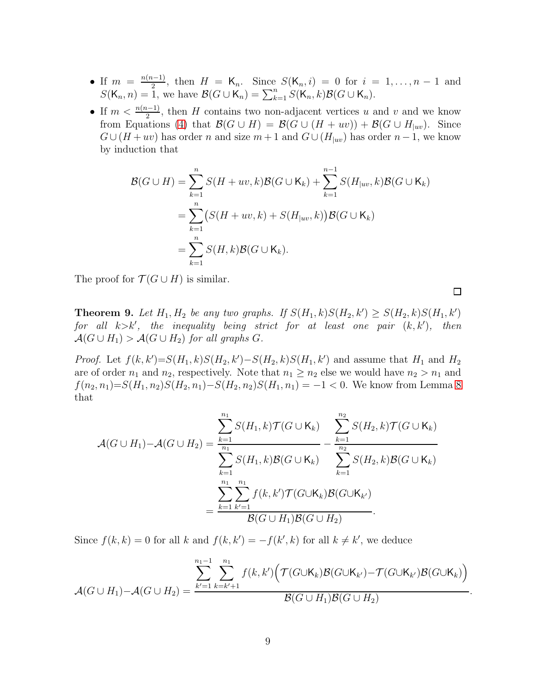- If  $m = \frac{n(n-1)}{2}$  $\frac{(n-1)}{2}$ , then  $H = \mathsf{K}_n$ . Since  $S(\mathsf{K}_n, i) = 0$  for  $i = 1, ..., n-1$  and  $S(K_n, n) = \hat{1}$ , we have  $\mathcal{B}(G \cup K_n) = \sum_{k=1}^n S(K_n, k) \mathcal{B}(G \cup K_n)$ .
- If  $m < \frac{n(n-1)}{2}$ , then H contains two non-adjacent vertices u and v and we know from Equations [\(4\)](#page-3-2) that  $\mathcal{B}(G \cup H) = \mathcal{B}(G \cup (H + uv)) + \mathcal{B}(G \cup H_{|uv})$ . Since  $G \cup (H + uv)$  has order n and size  $m + 1$  and  $G \cup (H_{|uv})$  has order  $n - 1$ , we know by induction that

$$
\mathcal{B}(G \cup H) = \sum_{k=1}^{n} S(H + uv, k) \mathcal{B}(G \cup K_k) + \sum_{k=1}^{n-1} S(H_{|uv}, k) \mathcal{B}(G \cup K_k)
$$
  
= 
$$
\sum_{k=1}^{n} \left( S(H + uv, k) + S(H_{|uv}, k) \right) \mathcal{B}(G \cup K_k)
$$
  
= 
$$
\sum_{k=1}^{n} S(H, k) \mathcal{B}(G \cup K_k).
$$

The proof for  $\mathcal{T}(G \cup H)$  is similar.

**Theorem 9.** Let  $H_1, H_2$  be any two graphs. If  $S(H_1, k)S(H_2, k') \geq S(H_2, k)S(H_1, k')$ for all  $k > k'$ , the inequality being strict for at least one pair  $(k, k')$ , then  $\mathcal{A}(G \cup H_1) > \mathcal{A}(G \cup H_2)$  for all graphs G.

*Proof.* Let  $f(k, k') = S(H_1, k)S(H_2, k') - S(H_2, k)S(H_1, k')$  and assume that  $H_1$  and  $H_2$ are of order  $n_1$  and  $n_2$ , respectively. Note that  $n_1 \geq n_2$  else we would have  $n_2 > n_1$  and  $f(n_2, n_1) = S(H_1, n_2)S(H_2, n_1) - S(H_2, n_2)S(H_1, n_1) = -1 < 0$ . We know from Lemma [8](#page-7-0) that

$$
\mathcal{A}(G \cup H_1) - \mathcal{A}(G \cup H_2) = \frac{\sum_{k=1}^{n_1} S(H_1, k) \mathcal{T}(G \cup K_k)}{\sum_{k=1}^{n_1} S(H_1, k) \mathcal{B}(G \cup K_k)} - \frac{\sum_{k=1}^{n_2} S(H_2, k) \mathcal{T}(G \cup K_k)}{\sum_{k=1}^{n_2} S(H_2, k) \mathcal{B}(G \cup K_k)}
$$

$$
= \frac{\sum_{k=1}^{n_1} \sum_{k'=1}^{n_1} f(k, k') \mathcal{T}(G \cup K_k) \mathcal{B}(G \cup K_{k'})}{\mathcal{B}(G \cup H_1) \mathcal{B}(G \cup H_2)}.
$$

Since  $f(k, k) = 0$  for all k and  $f(k, k') = -f(k', k)$  for all  $k \neq k'$ , we deduce

$$
\mathcal{A}(G \cup H_1) - \mathcal{A}(G \cup H_2) = \frac{\sum_{k'=1}^{n_1-1} \sum_{k=k'+1}^{n_1} f(k,k') \Big( \mathcal{T}(G \cup K_k) \mathcal{B}(G \cup K_{k'}) - \mathcal{T}(G \cup K_{k'}) \mathcal{B}(G \cup K_k) \Big)}{\mathcal{B}(G \cup H_1) \mathcal{B}(G \cup H_2)}.
$$

 $\Box$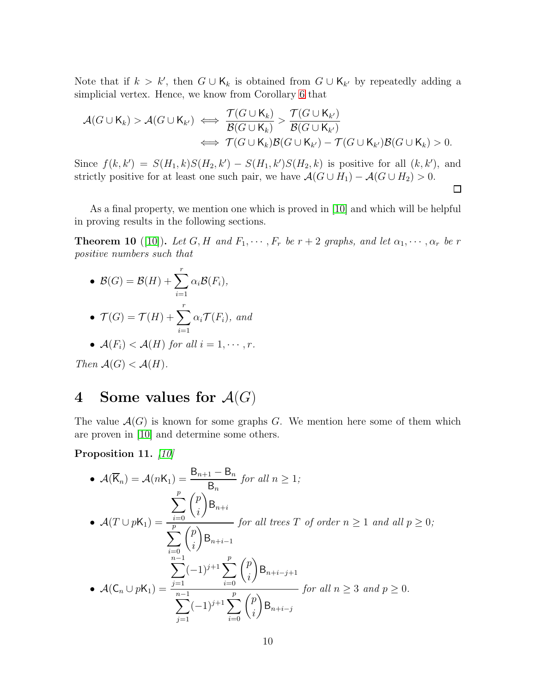Note that if  $k > k'$ , then  $G \cup K_k$  is obtained from  $G \cup K_{k'}$  by repeatedly adding a simplicial vertex. Hence, we know from Corollary [6](#page-6-0) that

$$
\mathcal{A}(G \cup \mathsf{K}_{k}) > \mathcal{A}(G \cup \mathsf{K}_{k'}) \iff \frac{\mathcal{T}(G \cup \mathsf{K}_{k})}{\mathcal{B}(G \cup \mathsf{K}_{k})} > \frac{\mathcal{T}(G \cup \mathsf{K}_{k'})}{\mathcal{B}(G \cup \mathsf{K}_{k'})} \\
\iff \mathcal{T}(G \cup \mathsf{K}_{k})\mathcal{B}(G \cup \mathsf{K}_{k'}) - \mathcal{T}(G \cup \mathsf{K}_{k'})\mathcal{B}(G \cup \mathsf{K}_{k}) > 0.
$$

Since  $f(k, k') = S(H_1, k)S(H_2, k') - S(H_1, k')S(H_2, k)$  is positive for all  $(k, k')$ , and strictly positive for at least one such pair, we have  $\mathcal{A}(G \cup H_1) - \mathcal{A}(G \cup H_2) > 0$ .

 $\Box$ 

As a final property, we mention one which is proved in [\[10\]](#page-19-6) and which will be helpful in proving results in the following sections.

<span id="page-9-2"></span>**Theorem 10** ([\[10\]](#page-19-6)). Let G, H and  $F_1, \dots, F_r$  be  $r + 2$  graphs, and let  $\alpha_1, \dots, \alpha_r$  be r positive numbers such that

• 
$$
\mathcal{B}(G) = \mathcal{B}(H) + \sum_{i=1}^{r} \alpha_i \mathcal{B}(F_i),
$$

• 
$$
\mathcal{T}(G) = \mathcal{T}(H) + \sum_{i=1}^{r} \alpha_i \mathcal{T}(F_i)
$$
, and

• 
$$
\mathcal{A}(F_i) < \mathcal{A}(H)
$$
 for all  $i = 1, \cdots, r$ .

Then  $\mathcal{A}(G) < \mathcal{A}(H)$ .

## <span id="page-9-0"></span>4 Some values for  $\mathcal{A}(G)$

The value  $\mathcal{A}(G)$  is known for some graphs G. We mention here some of them which are proven in [\[10\]](#page-19-6) and determine some others.

<span id="page-9-1"></span>Proposition 11. [\[10\]](#page-19-6)

• 
$$
\mathcal{A}(\overline{K}_n) = \mathcal{A}(nK_1) = \frac{B_{n+1} - B_n}{B_n}
$$
 for all  $n \ge 1$ ;  
\n•  $\mathcal{A}(T \cup pK_1) = \frac{\sum_{i=0}^p {p \choose i} B_{n+i}}{\sum_{i=0}^p {p \choose i} B_{n+i-1}}$  for all trees  $T$  of order  $n \ge 1$  and all  $p \ge 0$ ;  
\n
$$
\sum_{n=1}^{n-1} (-1)^{j+1} \sum_{i=0}^p {p \choose i} B_{n+i-j+1}
$$
\n•  $\mathcal{A}(C_n \cup pK_1) = \frac{\sum_{i=1}^{n-1} (-1)^{j+1} \sum_{i=0}^p {p \choose i} B_{n+i-j}}{\sum_{i=0}^p {p \choose i} B_{n+i-j}}$  for all  $n \ge 3$  and  $p \ge 0$ .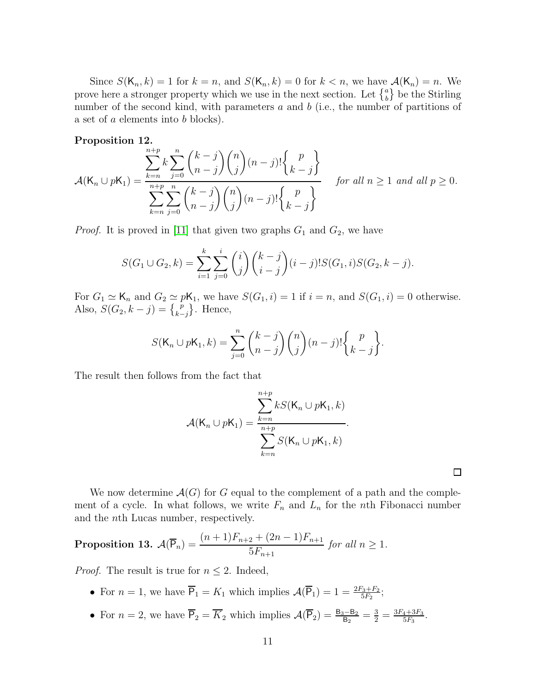Since  $S(K_n, k) = 1$  for  $k = n$ , and  $S(K_n, k) = 0$  for  $k < n$ , we have  $\mathcal{A}(K_n) = n$ . We prove here a stronger property which we use in the next section. Let  $\{^a_b\}$  be the Stirling number of the second kind, with parameters  $a$  and  $b$  (i.e., the number of partitions of a set of a elements into b blocks).

<span id="page-10-1"></span>Proposition 12.

$$
\mathcal{A}(\mathsf{K}_n \cup p\mathsf{K}_1) = \frac{\sum_{k=n}^{n+p} k \sum_{j=0}^n {k-j \choose n-j} {n \choose j} (n-j)! {p \choose k-j}}{\sum_{k=n}^{n+p} \sum_{j=0}^n {k-j \choose n-j} {n \choose j} (n-j)! {p \choose k-j}} \quad \text{for all } n \ge 1 \text{ and all } p \ge 0.
$$

*Proof.* It is proved in [\[11\]](#page-19-3) that given two graphs  $G_1$  and  $G_2$ , we have

$$
S(G_1 \cup G_2, k) = \sum_{i=1}^k \sum_{j=0}^i {i \choose j} {k-j \choose i-j} (i-j)! S(G_1, i) S(G_2, k-j).
$$

For  $G_1 \simeq \mathsf{K}_n$  and  $G_2 \simeq p\mathsf{K}_1$ , we have  $S(G_1, i) = 1$  if  $i = n$ , and  $S(G_1, i) = 0$  otherwise. Also,  $S(G_2, k - j) = \{p \atop k - j\}$ . Hence,

$$
S(\mathsf{K}_n \cup p\mathsf{K}_1, k) = \sum_{j=0}^n {k-j \choose n-j} {n \choose j} (n-j)! {p \choose k-j}.
$$

The result then follows from the fact that

$$
\mathcal{A}(\mathsf{K}_n \cup p\mathsf{K}_1) = \frac{\sum_{k=n}^{n+p} kS(\mathsf{K}_n \cup p\mathsf{K}_1, k)}{\sum_{k=n}^{n+p} S(\mathsf{K}_n \cup p\mathsf{K}_1, k)}.
$$

 $\Box$ 

We now determine  $\mathcal{A}(G)$  for G equal to the complement of a path and the complement of a cycle. In what follows, we write  $F_n$  and  $L_n$  for the nth Fibonacci number and the nth Lucas number, respectively.

<span id="page-10-0"></span>Proposition 13.  $\mathcal{A}(\overline{P}_n) = \frac{(n+1)F_{n+2} + (2n-1)F_{n+1}}{\epsilon F_n}$  $5F_{n+1}$ for all  $n \geq 1$ .

*Proof.* The result is true for  $n \leq 2$ . Indeed,

- For  $n = 1$ , we have  $\overline{P}_1 = K_1$  which implies  $\mathcal{A}(\overline{P}_1) = 1 = \frac{2F_3 + F_2}{5F_2};$
- For  $n=2$ , we have  $\overline{P}_2 = \overline{K}_2$  which implies  $\mathcal{A}(\overline{P}_2) = \frac{B_3 B_2}{B_2} = \frac{3}{2} = \frac{3F_4 + 3F_3}{5F_3}$  $\frac{4+3F_3}{5F_3}$ .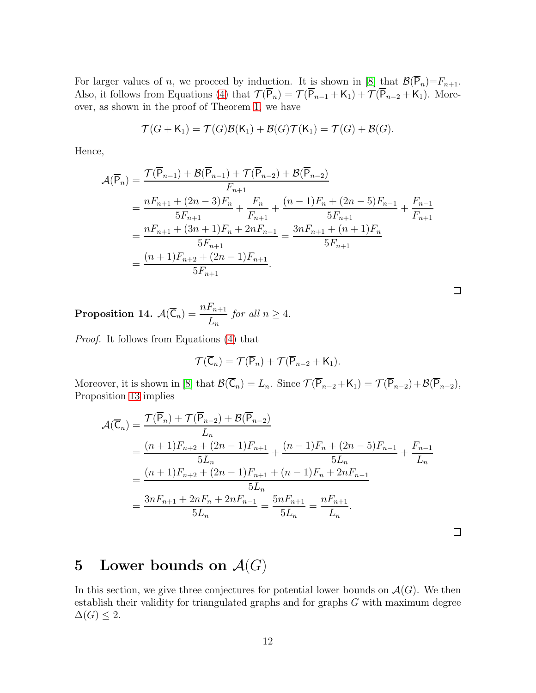For larger values of n, we proceed by induction. It is shown in [\[8\]](#page-19-10) that  $\mathcal{B}(\overline{P}_n)=F_{n+1}$ . Also, it follows from Equations [\(4\)](#page-3-2) that  $\mathcal{T}(\overline{P}_n) = \mathcal{T}(\overline{P}_{n-1} + K_1) + \mathcal{T}(\overline{P}_{n-2} + K_1)$ . Moreover, as shown in the proof of Theorem [1,](#page-3-1) we have

$$
\mathcal{T}(G + \mathsf{K}_1) = \mathcal{T}(G)\mathcal{B}(\mathsf{K}_1) + \mathcal{B}(G)\mathcal{T}(\mathsf{K}_1) = \mathcal{T}(G) + \mathcal{B}(G).
$$

Hence,

$$
\mathcal{A}(\overline{P}_n) = \frac{\mathcal{T}(\overline{P}_{n-1}) + \mathcal{B}(\overline{P}_{n-1}) + \mathcal{T}(\overline{P}_{n-2}) + \mathcal{B}(\overline{P}_{n-2})}{F_{n+1}} \n= \frac{nF_{n+1} + (2n-3)F_n}{5F_{n+1}} + \frac{F_n}{F_{n+1}} + \frac{(n-1)F_n + (2n-5)F_{n-1}}{5F_{n+1}} + \frac{F_{n-1}}{F_{n+1}} \n= \frac{nF_{n+1} + (3n+1)F_n + 2nF_{n-1}}{5F_{n+1}} = \frac{3nF_{n+1} + (n+1)F_n}{5F_{n+1}} \n= \frac{(n+1)F_{n+2} + (2n-1)F_{n+1}}{5F_{n+1}}.
$$

 $\Box$ 

**Proposition 14.** 
$$
\mathcal{A}(\overline{C}_n) = \frac{nF_{n+1}}{L_n}
$$
 for all  $n \ge 4$ .

Proof. It follows from Equations [\(4\)](#page-3-2) that

$$
\mathcal{T}(\overline{C}_n)=\mathcal{T}(\overline{P}_n)+\mathcal{T}(\overline{P}_{n-2}+K_1).
$$

Moreover, it is shown in [\[8\]](#page-19-10) that  $\mathcal{B}(\overline{C}_n) = L_n$ . Since  $\mathcal{T}(\overline{P}_{n-2} + K_1) = \mathcal{T}(\overline{P}_{n-2}) + \mathcal{B}(\overline{P}_{n-2}),$ Proposition [13](#page-10-0) implies

$$
\mathcal{A}(\overline{C}_{n}) = \frac{\mathcal{T}(\overline{P}_{n}) + \mathcal{T}(\overline{P}_{n-2}) + \mathcal{B}(\overline{P}_{n-2})}{L_{n}} \n= \frac{(n+1)F_{n+2} + (2n-1)F_{n+1}}{5L_{n}} + \frac{(n-1)F_{n} + (2n-5)F_{n-1}}{5L_{n}} + \frac{F_{n-1}}{L_{n}} \n= \frac{(n+1)F_{n+2} + (2n-1)F_{n+1} + (n-1)F_{n} + 2nF_{n-1}}{5L_{n}} \n= \frac{3nF_{n+1} + 2nF_{n} + 2nF_{n-1}}{5L_{n}} = \frac{5nF_{n+1}}{5L_{n}} = \frac{nF_{n+1}}{L_{n}}.
$$

## <span id="page-11-0"></span>5 Lower bounds on  $\mathcal{A}(G)$

In this section, we give three conjectures for potential lower bounds on  $\mathcal{A}(G)$ . We then establish their validity for triangulated graphs and for graphs  $G$  with maximum degree  $\Delta(G) \leq 2$ .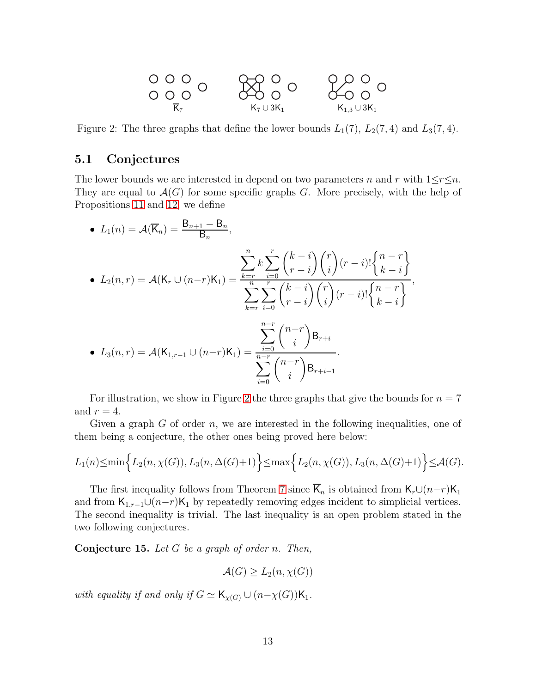<span id="page-12-0"></span>

Figure 2: The three graphs that define the lower bounds  $L_1(7)$ ,  $L_2(7, 4)$  and  $L_3(7, 4)$ .

#### 5.1 Conjectures

The lower bounds we are interested in depend on two parameters n and r with  $1 \le r \le n$ . They are equal to  $\mathcal{A}(G)$  for some specific graphs G. More precisely, with the help of Propositions [11](#page-9-1) and [12,](#page-10-1) we define

• 
$$
L_1(n) = A(\overline{K}_n) = \frac{B_{n+1} - B_n}{B_n}
$$
,  
\n•  $L_2(n,r) = A(K_r \cup (n-r)K_1) = \frac{\sum_{k=r}^{n} k \sum_{i=0}^{r} {k-i \choose r-i} {r \choose i} (r-i)! {n-r \choose k-i}}{\sum_{k=r}^{n} \sum_{i=0}^{r} {k-i \choose r-i} {r \choose i} (r-i)! {n-r \choose k-i}}.$   
\n•  $L_3(n,r) = A(K_{1,r-1} \cup (n-r)K_1) = \frac{\sum_{i=0}^{n-r} {n-r \choose i} B_{r+i}}{\sum_{i=0}^{n-r} {n-r \choose i} B_{r+i-1}}.$ 

For illustration, we show in Figure [2](#page-12-0) the three graphs that give the bounds for  $n = 7$ and  $r = 4$ .

Given a graph  $G$  of order  $n$ , we are interested in the following inequalities, one of them being a conjecture, the other ones being proved here below:

$$
L_1(n) \le \min\Big\{L_2(n, \chi(G)), L_3(n, \Delta(G)+1)\Big\} \le \max\Big\{L_2(n, \chi(G)), L_3(n, \Delta(G)+1)\Big\} \le \mathcal{A}(G).
$$

The first inequality follows from Theorem [7](#page-6-1) since  $\overline{K}_n$  is obtained from  $K_r \cup (n-r)K_1$ and from  $\mathsf{K}_{1,r-1}\cup(n-r)\mathsf{K}_1$  by repeatedly removing edges incident to simplicial vertices. The second inequality is trivial. The last inequality is an open problem stated in the two following conjectures.

<span id="page-12-1"></span>**Conjecture 15.** Let  $G$  be a graph of order n. Then,

 $\mathcal{A}(G) > L_2(n, \chi(G))$ 

with equality if and only if  $G \simeq \mathsf{K}_{\chi(G)} \cup (n-\chi(G))\mathsf{K}_1$ .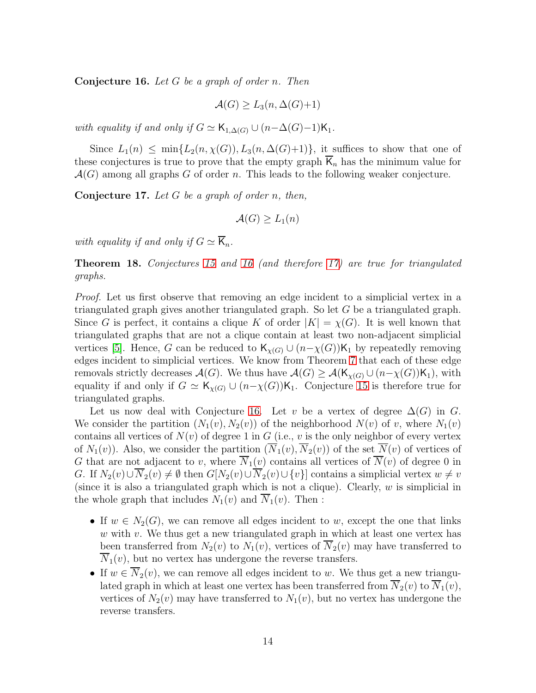<span id="page-13-0"></span>**Conjecture 16.** Let  $G$  be a graph of order n. Then

$$
\mathcal{A}(G) \ge L_3(n, \Delta(G)+1)
$$

with equality if and only if  $G \simeq \mathsf{K}_{1,\Delta(G)} \cup (n-\Delta(G)-1)\mathsf{K}_1$ .

Since  $L_1(n) \leq \min\{L_2(n,\chi(G)), L_3(n,\Delta(G)+1)\}\$ , it suffices to show that one of these conjectures is true to prove that the empty graph  $\overline{K}_n$  has the minimum value for  $\mathcal{A}(G)$  among all graphs G of order n. This leads to the following weaker conjecture.

<span id="page-13-1"></span>**Conjecture 17.** Let G be a graph of order n, then,

$$
\mathcal{A}(G) \ge L_1(n)
$$

with equality if and only if  $G \simeq \overline{K}_n$ .

Theorem 18. Conjectures [15](#page-12-1) and [16](#page-13-0) (and therefore [17\)](#page-13-1) are true for triangulated graphs.

Proof. Let us first observe that removing an edge incident to a simplicial vertex in a triangulated graph gives another triangulated graph. So let  $G$  be a triangulated graph. Since G is perfect, it contains a clique K of order  $|K| = \chi(G)$ . It is well known that triangulated graphs that are not a clique contain at least two non-adjacent simplicial vertices [\[5\]](#page-19-11). Hence, G can be reduced to  $\mathsf{K}_{\chi(G)} \cup (n-\chi(G))\mathsf{K}_1$  by repeatedly removing edges incident to simplicial vertices. We know from Theorem [7](#page-6-1) that each of these edge removals strictly decreases  $\mathcal{A}(G)$ . We thus have  $\mathcal{A}(G) \geq \mathcal{A}(\mathsf{K}_{\chi(G)} \cup (n-\chi(G))\mathsf{K}_1)$ , with equality if and only if  $G \simeq \mathsf{K}_{\chi(G)} \cup (n-\chi(G))\mathsf{K}_1$ . Conjecture [15](#page-12-1) is therefore true for triangulated graphs.

Let us now deal with Conjecture [16.](#page-13-0) Let v be a vertex of degree  $\Delta(G)$  in G. We consider the partition  $(N_1(v), N_2(v))$  of the neighborhood  $N(v)$  of v, where  $N_1(v)$ contains all vertices of  $N(v)$  of degree 1 in G (i.e., v is the only neighbor of every vertex of  $N_1(v)$ ). Also, we consider the partition  $(\overline{N}_1(v), \overline{N}_2(v))$  of the set  $\overline{N}(v)$  of vertices of G that are not adjacent to v, where  $\overline{N}_1(v)$  contains all vertices of  $\overline{N}(v)$  of degree 0 in G. If  $N_2(v) \cup N_2(v) \neq \emptyset$  then  $G[N_2(v) \cup N_2(v) \cup \{v\}]$  contains a simplicial vertex  $w \neq v$ (since it is also a triangulated graph which is not a clique). Clearly,  $w$  is simplicial in the whole graph that includes  $N_1(v)$  and  $\overline{N}_1(v)$ . Then :

- If  $w \in N_2(G)$ , we can remove all edges incident to w, except the one that links  $w$  with  $v$ . We thus get a new triangulated graph in which at least one vertex has been transferred from  $N_2(v)$  to  $N_1(v)$ , vertices of  $\overline{N}_2(v)$  may have transferred to  $\overline{N}_1(v)$ , but no vertex has undergone the reverse transfers.
- If  $w \in \overline{N_2}(v)$ , we can remove all edges incident to w. We thus get a new triangulated graph in which at least one vertex has been transferred from  $\overline{N}_2(v)$  to  $\overline{N}_1(v)$ , vertices of  $N_2(v)$  may have transferred to  $N_1(v)$ , but no vertex has undergone the reverse transfers.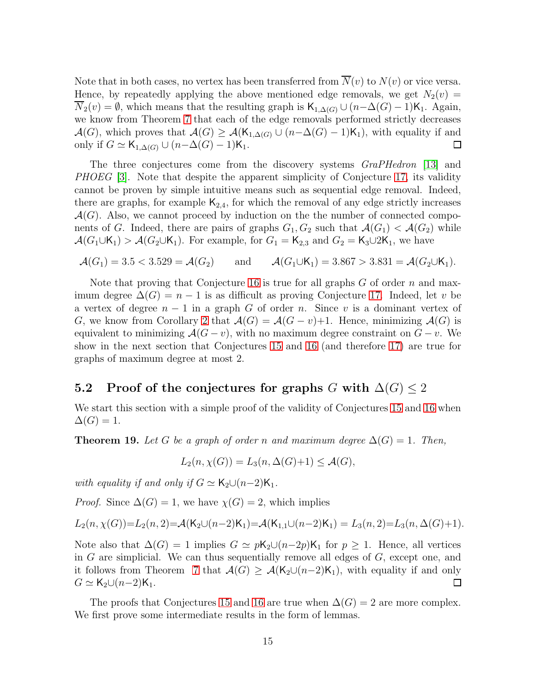Note that in both cases, no vertex has been transferred from  $\overline{N}(v)$  to  $N(v)$  or vice versa. Hence, by repeatedly applying the above mentioned edge removals, we get  $N_2(v)$  =  $\overline{N}_2(v) = \emptyset$ , which means that the resulting graph is  $\mathsf{K}_{1,\Delta(G)} \cup (n-\Delta(G)-1)\mathsf{K}_1$ . Again, we know from Theorem [7](#page-6-1) that each of the edge removals performed strictly decreases  $\mathcal{A}(G)$ , which proves that  $\mathcal{A}(G) \geq \mathcal{A}(\mathsf{K}_{1,\Delta(G)} \cup (n-\Delta(G)-1)\mathsf{K}_1)$ , with equality if and only if  $G \simeq \mathsf{K}_{1,\Delta(G)} \cup (n-\Delta(G)-1)\mathsf{K}_1$ . 口

The three conjectures come from the discovery systems *GraPHedron* [\[13\]](#page-19-12) and PHOEG [\[3\]](#page-19-13). Note that despite the apparent simplicity of Conjecture [17,](#page-13-1) its validity cannot be proven by simple intuitive means such as sequential edge removal. Indeed, there are graphs, for example  $K_{2,4}$ , for which the removal of any edge strictly increases  $\mathcal{A}(G)$ . Also, we cannot proceed by induction on the the number of connected components of G. Indeed, there are pairs of graphs  $G_1, G_2$  such that  $\mathcal{A}(G_1) < \mathcal{A}(G_2)$  while  $\mathcal{A}(G_1 \cup K_1) > \mathcal{A}(G_2 \cup K_1)$ . For example, for  $G_1 = K_{2,3}$  and  $G_2 = K_3 \cup 2K_1$ , we have

$$
\mathcal{A}(G_1) = 3.5 < 3.529 = \mathcal{A}(G_2) \quad \text{and} \quad \mathcal{A}(G_1 \cup K_1) = 3.867 > 3.831 = \mathcal{A}(G_2 \cup K_1).
$$

Note that proving that Conjecture [16](#page-13-0) is true for all graphs  $G$  of order  $n$  and maximum degree  $\Delta(G) = n - 1$  is as difficult as proving Conjecture [17.](#page-13-1) Indeed, let v be a vertex of degree  $n-1$  in a graph G of order n. Since v is a dominant vertex of G, we know from Corollary [2](#page-4-1) that  $\mathcal{A}(G) = \mathcal{A}(G - v) + 1$ . Hence, minimizing  $\mathcal{A}(G)$  is equivalent to minimizing  $\mathcal{A}(G - v)$ , with no maximum degree constraint on  $G - v$ . We show in the next section that Conjectures [15](#page-12-1) and [16](#page-13-0) (and therefore [17\)](#page-13-1) are true for graphs of maximum degree at most 2.

#### 5.2 Proof of the conjectures for graphs G with  $\Delta(G) \leq 2$

We start this section with a simple proof of the validity of Conjectures [15](#page-12-1) and [16](#page-13-0) when  $\Delta(G) = 1.$ 

**Theorem 19.** Let G be a graph of order n and maximum degree  $\Delta(G) = 1$ . Then,

$$
L_2(n, \chi(G)) = L_3(n, \Delta(G) + 1) \leq \mathcal{A}(G),
$$

with equality if and only if  $G \simeq K_2 \cup (n-2)K_1$ .

*Proof.* Since  $\Delta(G) = 1$ , we have  $\chi(G) = 2$ , which implies

$$
L_2(n, \chi(G)) = L_2(n, 2) = \mathcal{A}(\mathsf{K}_2 \cup (n-2)\mathsf{K}_1) = \mathcal{A}(\mathsf{K}_{1,1} \cup (n-2)\mathsf{K}_1) = L_3(n, 2) = L_3(n, \Delta(G) + 1).
$$

Note also that  $\Delta(G) = 1$  implies  $G \simeq p\mathsf{K}_2 \cup (n-2p)\mathsf{K}_1$  for  $p \geq 1$ . Hence, all vertices in  $G$  are simplicial. We can thus sequentially remove all edges of  $G$ , except one, and it follows from Theorem [7](#page-6-1) that  $\mathcal{A}(G) \geq \mathcal{A}(K_2 \cup (n-2)K_1)$ , with equality if and only  $G \simeq K_2 \cup (n-2)K_1$ . 口

The proofs that Conjectures [15](#page-12-1) and [16](#page-13-0) are true when  $\Delta(G) = 2$  are more complex. We first prove some intermediate results in the form of lemmas.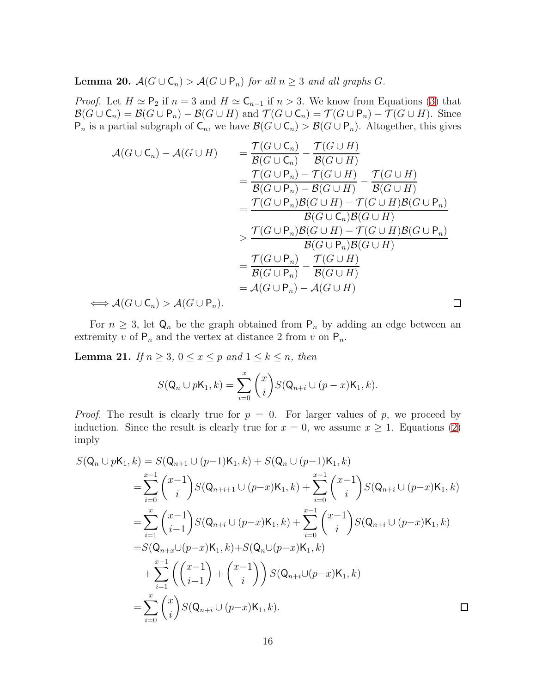<span id="page-15-1"></span>**Lemma 20.**  $A(G \cup C_n) > A(G \cup P_n)$  for all  $n \geq 3$  and all graphs G.

*Proof.* Let  $H \simeq \mathsf{P}_2$  if  $n = 3$  and  $H \simeq \mathsf{C}_{n-1}$  if  $n > 3$ . We know from Equations [\(3\)](#page-3-3) that  $\mathcal{B}(G \cup C_n) = \mathcal{B}(G \cup P_n) - \mathcal{B}(G \cup H)$  and  $\mathcal{T}(G \cup C_n) = \mathcal{T}(G \cup P_n) - \mathcal{T}(G \cup H)$ . Since  $P_n$  is a partial subgraph of  $C_n$ , we have  $\mathcal{B}(G \cup C_n) > \mathcal{B}(G \cup P_n)$ . Altogether, this gives

$$
\mathcal{A}(G \cup C_n) - \mathcal{A}(G \cup H) = \frac{\mathcal{T}(G \cup C_n)}{\mathcal{B}(G \cup C_n)} - \frac{\mathcal{T}(G \cup H)}{\mathcal{B}(G \cup H)}
$$
  
\n
$$
= \frac{\mathcal{T}(G \cup P_n) - \mathcal{T}(G \cup H)}{\mathcal{B}(G \cup P_n) - \mathcal{B}(G \cup H)} - \frac{\mathcal{T}(G \cup H)}{\mathcal{B}(G \cup H)}
$$
  
\n
$$
= \frac{\mathcal{T}(G \cup P_n)\mathcal{B}(G \cup H) - \mathcal{T}(G \cup H)\mathcal{B}(G \cup P_n)}{\mathcal{B}(G \cup C_n)\mathcal{B}(G \cup H)}
$$
  
\n
$$
> \frac{\mathcal{T}(G \cup P_n)\mathcal{B}(G \cup H) - \mathcal{T}(G \cup H)\mathcal{B}(G \cup P_n)}{\mathcal{B}(G \cup P_n)\mathcal{B}(G \cup H)}
$$
  
\n
$$
= \frac{\mathcal{T}(G \cup P_n)}{\mathcal{B}(G \cup P_n)} - \frac{\mathcal{T}(G \cup H)}{\mathcal{B}(G \cup H)}
$$
  
\n
$$
= \mathcal{A}(G \cup C_n) > \mathcal{A}(G \cup P_n).
$$

For  $n \geq 3$ , let  $\mathsf{Q}_n$  be the graph obtained from  $\mathsf{P}_n$  by adding an edge between an extremity v of  $P_n$  and the vertex at distance 2 from v on  $P_n$ .

<span id="page-15-0"></span>**Lemma 21.** If  $n \geq 3$ ,  $0 \leq x \leq p$  and  $1 \leq k \leq n$ , then

$$
S(Q_n \cup pK_1, k) = \sum_{i=0}^{x} {x \choose i} S(Q_{n+i} \cup (p-x)K_1, k).
$$

*Proof.* The result is clearly true for  $p = 0$ . For larger values of p, we proceed by induction. Since the result is clearly true for  $x = 0$ , we assume  $x \ge 1$ . Equations [\(2\)](#page-3-4) imply

$$
S(\mathbf{Q}_n \cup p\mathbf{K}_1, k) = S(\mathbf{Q}_{n+1} \cup (p-1)\mathbf{K}_1, k) + S(\mathbf{Q}_n \cup (p-1)\mathbf{K}_1, k)
$$
  
\n
$$
= \sum_{i=0}^{x-1} {x-1 \choose i} S(\mathbf{Q}_{n+i+1} \cup (p-x)\mathbf{K}_1, k) + \sum_{i=0}^{x-1} {x-1 \choose i} S(\mathbf{Q}_{n+i} \cup (p-x)\mathbf{K}_1, k)
$$
  
\n
$$
= \sum_{i=1}^{x} {x-1 \choose i-1} S(\mathbf{Q}_{n+i} \cup (p-x)\mathbf{K}_1, k) + \sum_{i=0}^{x-1} {x-1 \choose i} S(\mathbf{Q}_{n+i} \cup (p-x)\mathbf{K}_1, k)
$$
  
\n
$$
= S(\mathbf{Q}_{n+x} \cup (p-x)\mathbf{K}_1, k) + S(\mathbf{Q}_n \cup (p-x)\mathbf{K}_1, k)
$$
  
\n
$$
+ \sum_{i=1}^{x-1} {x-1 \choose i-1} + {x-1 \choose i} S(\mathbf{Q}_{n+i} \cup (p-x)\mathbf{K}_1, k)
$$
  
\n
$$
= \sum_{i=0}^{x} {x \choose i} S(\mathbf{Q}_{n+i} \cup (p-x)\mathbf{K}_1, k).
$$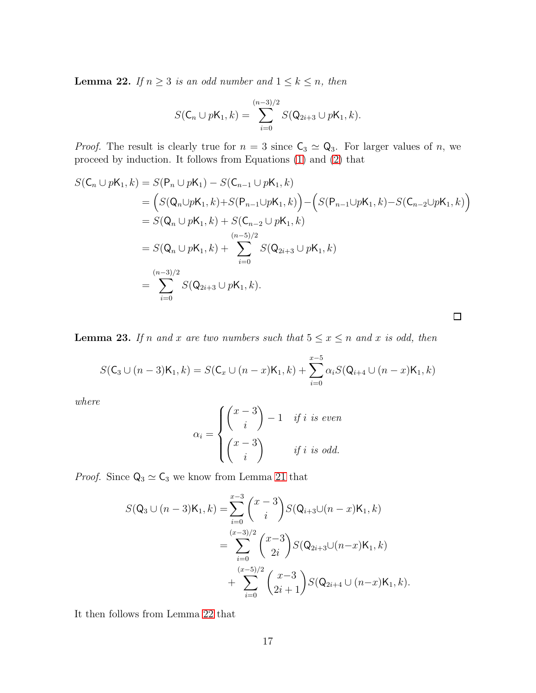<span id="page-16-0"></span>**Lemma 22.** If  $n \geq 3$  is an odd number and  $1 \leq k \leq n$ , then

$$
S(\mathsf{C}_n \cup p\mathsf{K}_1,k) = \sum_{i=0}^{(n-3)/2} S(\mathsf{Q}_{2i+3} \cup p\mathsf{K}_1,k).
$$

*Proof.* The result is clearly true for  $n = 3$  since  $C_3 \simeq Q_3$ . For larger values of n, we proceed by induction. It follows from Equations [\(1\)](#page-3-5) and [\(2\)](#page-3-4) that

$$
S(C_n \cup pK_1, k) = S(P_n \cup pK_1) - S(C_{n-1} \cup pK_1, k)
$$
  
=  $(S(Q_n \cup pK_1, k) + S(P_{n-1} \cup pK_1, k)) - (S(P_{n-1} \cup pK_1, k) - S(C_{n-2} \cup pK_1, k))$   
=  $S(Q_n \cup pK_1, k) + S(C_{n-2} \cup pK_1, k)$   
=  $S(Q_n \cup pK_1, k) + \sum_{i=0}^{(n-5)/2} S(Q_{2i+3} \cup pK_1, k)$   
=  $\sum_{i=0}^{(n-3)/2} S(Q_{2i+3} \cup pK_1, k).$ 

 $\Box$ 

<span id="page-16-1"></span>**Lemma 23.** If n and x are two numbers such that  $5 \le x \le n$  and x is odd, then

$$
S(\mathsf{C}_3 \cup (n-3)\mathsf{K}_1, k) = S(\mathsf{C}_x \cup (n-x)\mathsf{K}_1, k) + \sum_{i=0}^{x-5} \alpha_i S(\mathsf{Q}_{i+4} \cup (n-x)\mathsf{K}_1, k)
$$

where

$$
\alpha_i = \begin{cases} \begin{pmatrix} x-3 \\ i \end{pmatrix} - 1 & \text{if } i \text{ is even} \\ \begin{pmatrix} x-3 \\ i \end{pmatrix} & \text{if } i \text{ is odd.} \end{cases}
$$

*Proof.* Since  $Q_3 \simeq C_3$  we know from Lemma [21](#page-15-0) that

$$
S(Q_3 \cup (n-3)K_1, k) = \sum_{i=0}^{x-3} {x-3 \choose i} S(Q_{i+3} \cup (n-x)K_1, k)
$$
  
= 
$$
\sum_{i=0}^{(x-3)/2} {x-3 \choose 2i} S(Q_{2i+3} \cup (n-x)K_1, k)
$$
  
+ 
$$
\sum_{i=0}^{(x-5)/2} {x-3 \choose 2i+1} S(Q_{2i+4} \cup (n-x)K_1, k).
$$

It then follows from Lemma [22](#page-16-0) that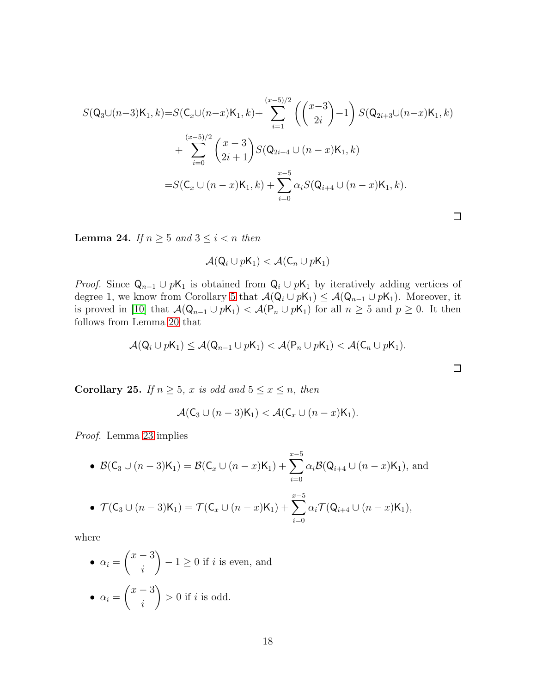$$
S(Q_3 \cup (n-3)K_1, k) = S(C_x \cup (n-x)K_1, k) + \sum_{i=1}^{(x-5)/2} \left( {x-3 \choose 2i} - 1 \right) S(Q_{2i+3} \cup (n-x)K_1, k)
$$
  
+ 
$$
\sum_{i=0}^{(x-5)/2} {x-3 \choose 2i+1} S(Q_{2i+4} \cup (n-x)K_1, k)
$$
  
= 
$$
S(C_x \cup (n-x)K_1, k) + \sum_{i=0}^{x-5} \alpha_i S(Q_{i+4} \cup (n-x)K_1, k).
$$

<span id="page-17-0"></span>**Lemma 24.** If  $n \geq 5$  and  $3 \leq i < n$  then

$$
\mathcal{A}(\mathsf{Q}_i \cup p\mathsf{K}_1) < \mathcal{A}(\mathsf{C}_n \cup p\mathsf{K}_1)
$$

*Proof.* Since  $Q_{n-1} \cup pK_1$  is obtained from  $Q_i \cup pK_1$  by iteratively adding vertices of degree 1, we know from Corollary [5](#page-6-2) that  $\mathcal{A}(\mathsf{Q}_i \cup p\mathsf{K}_1) \leq \mathcal{A}(\mathsf{Q}_{n-1} \cup p\mathsf{K}_1)$ . Moreover, it is proved in [\[10\]](#page-19-6) that  $\mathcal{A}(\mathsf{Q}_{n-1} \cup p\mathsf{K}_1) < \mathcal{A}(\mathsf{P}_n \cup p\mathsf{K}_1)$  for all  $n \geq 5$  and  $p \geq 0$ . It then follows from Lemma [20](#page-15-1) that

$$
\mathcal{A}(\mathsf{Q}_i \cup p\mathsf{K}_1) \leq \mathcal{A}(\mathsf{Q}_{n-1} \cup p\mathsf{K}_1) < \mathcal{A}(\mathsf{P}_n \cup p\mathsf{K}_1) < \mathcal{A}(\mathsf{C}_n \cup p\mathsf{K}_1).
$$

 $\Box$ 

<span id="page-17-1"></span>Corollary 25. If  $n \geq 5$ , x is odd and  $5 \leq x \leq n$ , then

$$
\mathcal{A}(\mathsf{C}_3 \cup (n-3)\mathsf{K}_1) < \mathcal{A}(\mathsf{C}_x \cup (n-x)\mathsf{K}_1).
$$

Proof. Lemma [23](#page-16-1) implies

• 
$$
\mathcal{B}(\mathsf{C}_3 \cup (n-3)\mathsf{K}_1) = \mathcal{B}(\mathsf{C}_x \cup (n-x)\mathsf{K}_1) + \sum_{i=0}^{x-5} \alpha_i \mathcal{B}(\mathsf{Q}_{i+4} \cup (n-x)\mathsf{K}_1)
$$
, and  
\n•  $\mathcal{T}(\mathsf{C}_3 \cup (n-3)\mathsf{K}_1) = \mathcal{T}(\mathsf{C}_x \cup (n-x)\mathsf{K}_1) + \sum_{i=0}^{x-5} \alpha_i \mathcal{T}(\mathsf{Q}_{i+4} \cup (n-x)\mathsf{K}_1)$ ,

where

\n- $$
\alpha_i = \binom{x-3}{i} - 1 \geq 0
$$
 if  $i$  is even, and
\n- $\alpha_i = \binom{x-3}{i} > 0$  if  $i$  is odd.
\n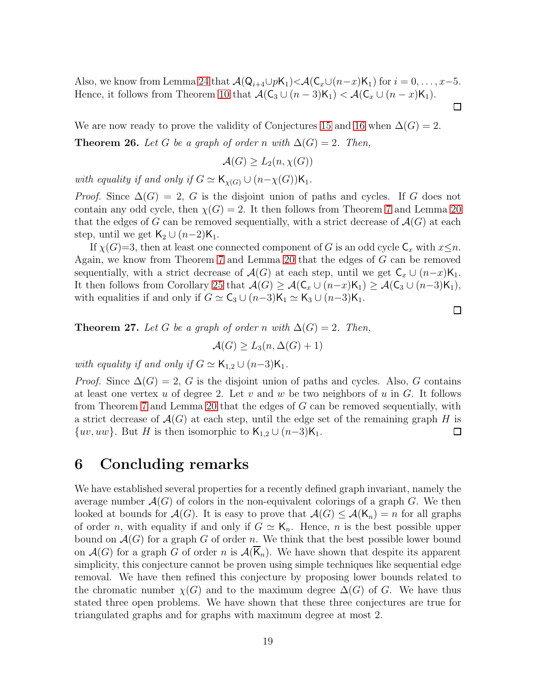Also, we know from Lemma [24](#page-17-0) that  $\mathcal{A}(Q_{i+4}\cup p\mathsf{K}_1)\langle\mathcal{A}(C_x\cup (n-x)\mathsf{K}_1) \text{ for } i=0,\ldots,x-5.$ Hence, it follows from Theorem [10](#page-9-2) that  $\mathcal{A}(\mathsf{C}_3 \cup (n-3)\mathsf{K}_1) < \mathcal{A}(\mathsf{C}_x \cup (n-x)\mathsf{K}_1)$ .  $\Box$ 

We are now ready to prove the validity of Conjectures [15](#page-12-1) and [16](#page-13-0) when  $\Delta(G) = 2$ . **Theorem 26.** Let G be a graph of order n with  $\Delta(G) = 2$ . Then,

$$
\mathcal{A}(G) \ge L_2(n, \chi(G))
$$

with equality if and only if  $G \simeq \mathsf{K}_{\chi(G)} \cup (n-\chi(G))\mathsf{K}_1$ .

*Proof.* Since  $\Delta(G) = 2$ , G is the disjoint union of paths and cycles. If G does not contain any odd cycle, then  $\chi(G) = 2$ . It then follows from Theorem [7](#page-6-1) and Lemma [20](#page-15-1) that the edges of G can be removed sequentially, with a strict decrease of  $\mathcal{A}(G)$  at each step, until we get  $\mathsf{K}_2 \cup (n-2)\mathsf{K}_1$ .

If  $\chi(G)=3$ , then at least one connected component of G is an odd cycle  $\mathsf{C}_x$  with  $x\leq n$ . Again, we know from Theorem [7](#page-6-1) and Lemma [20](#page-15-1) that the edges of G can be removed sequentially, with a strict decrease of  $\mathcal{A}(G)$  at each step, until we get  $C_x \cup (n-x)K_1$ . It then follows from Corollary [25](#page-17-1) that  $\mathcal{A}(G) \geq \mathcal{A}(\mathsf{C}_x \cup (n-x)\mathsf{K}_1) \geq \mathcal{A}(\mathsf{C}_3 \cup (n-3)\mathsf{K}_1)$ , with equalities if and only if  $G \simeq \mathsf{C}_3 \cup (n-3)\mathsf{K}_1 \simeq \mathsf{K}_3 \cup (n-3)\mathsf{K}_1$ .

 $\Box$ 

**Theorem 27.** Let G be a graph of order n with  $\Delta(G) = 2$ . Then,

$$
\mathcal{A}(G) \ge L_3(n, \Delta(G) + 1)
$$

with equality if and only if  $G \simeq \mathsf{K}_{1,2} \cup (n-3)\mathsf{K}_1$ .

*Proof.* Since  $\Delta(G) = 2$ , G is the disjoint union of paths and cycles. Also, G contains at least one vertex u of degree 2. Let v and w be two neighbors of u in  $G$ . It follows from Theorem [7](#page-6-1) and Lemma [20](#page-15-1) that the edges of G can be removed sequentially, with a strict decrease of  $\mathcal{A}(G)$  at each step, until the edge set of the remaining graph H is  $\{uv, uw\}$ . But H is then isomorphic to  $\mathsf{K}_{1,2} \cup (n-3)\mathsf{K}_{1}$ .  $\Box$ 

### 6 Concluding remarks

We have established several properties for a recently defined graph invariant, namely the average number  $\mathcal{A}(G)$  of colors in the non-equivalent colorings of a graph G. We then looked at bounds for  $\mathcal{A}(G)$ . It is easy to prove that  $\mathcal{A}(G) \leq \mathcal{A}(\mathsf{K}_n) = n$  for all graphs of order n, with equality if and only if  $G \simeq K_n$ . Hence, n is the best possible upper bound on  $\mathcal{A}(G)$  for a graph G of order n. We think that the best possible lower bound on  $\mathcal{A}(G)$  for a graph G of order n is  $\mathcal{A}(\overline{K}_n)$ . We have shown that despite its apparent simplicity, this conjecture cannot be proven using simple techniques like sequential edge removal. We have then refined this conjecture by proposing lower bounds related to the chromatic number  $\chi(G)$  and to the maximum degree  $\Delta(G)$  of G. We have thus stated three open problems. We have shown that these three conjectures are true for triangulated graphs and for graphs with maximum degree at most 2.